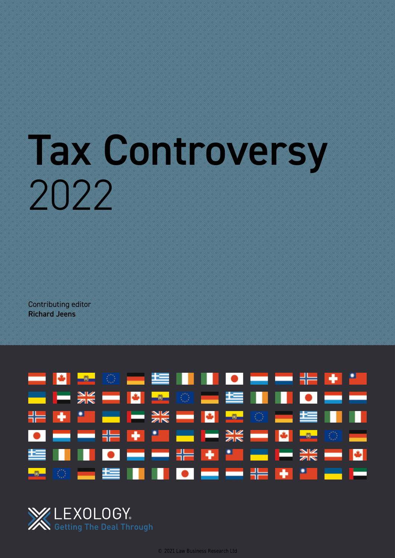# Tax Controversy 2022

Contributing editor Richard Jeens



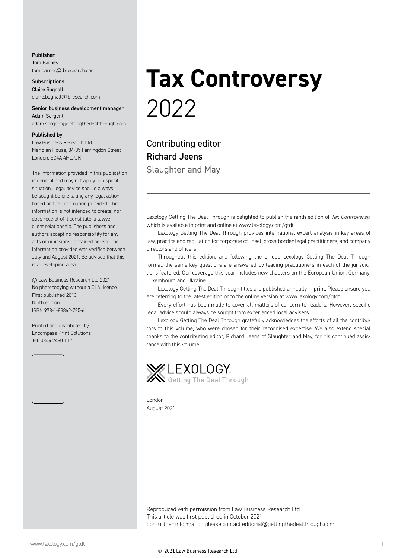#### Publisher Tom Barnes tom.barnes@lbresearch.com

**Subscriptions** Claire Bagnall claire.bagnall@lbresearch.com

#### Senior business development manager Adam Sargent

adam.sargent@gettingthedealthrough.com

#### Published by

Law Business Research Ltd Meridian House, 34-35 Farringdon Street London, EC4A 4HL, UK

The information provided in this publication is general and may not apply in a specific situation. Legal advice should always be sought before taking any legal action based on the information provided. This information is not intended to create, nor does receipt of it constitute, a lawyer– client relationship. The publishers and authors accept no responsibility for any acts or omissions contained herein. The information provided was verified between July and August 2021. Be advised that this is a developing area.

© Law Business Research Ltd 2021 No photocopying without a CLA licence. First published 2013 Ninth edition ISBN 978-1-83862-725-6

Printed and distributed by Encompass Print Solutions Tel: 0844 2480 112



## **Tax Controversy** 2022

Contributing editor Richard Jeens Slaughter and May

Lexology Getting The Deal Through is delighted to publish the ninth edition of *Tax Controversy*, which is available in print and online at www.lexology.com/gtdt.

Lexology Getting The Deal Through provides international expert analysis in key areas of law, practice and regulation for corporate counsel, cross-border legal practitioners, and company directors and officers.

Throughout this edition, and following the unique Lexology Getting The Deal Through format, the same key questions are answered by leading practitioners in each of the jurisdictions featured. Our coverage this year includes new chapters on the European Union, Germany, Luxembourg and Ukraine.

Lexology Getting The Deal Through titles are published annually in print. Please ensure you are referring to the latest edition or to the online version at www.lexology.com/gtdt.

Every effort has been made to cover all matters of concern to readers. However, specific legal advice should always be sought from experienced local advisers.

Lexology Getting The Deal Through gratefully acknowledges the efforts of all the contributors to this volume, who were chosen for their recognised expertise. We also extend special thanks to the contributing editor, Richard Jeens of Slaughter and May, for his continued assistance with this volume.



London August 2021

Reproduced with permission from Law Business Research Ltd This article was first published in October 2021 For further information please contact editorial@gettingthedealthrough.com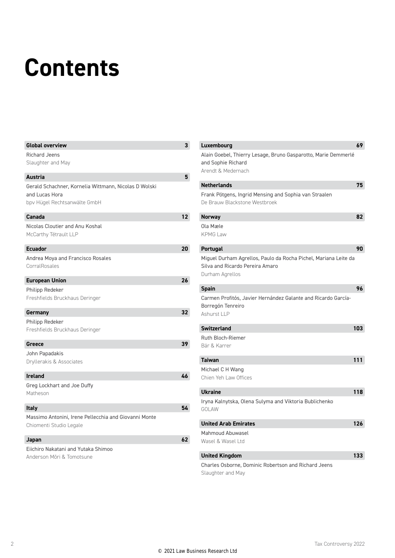# **Contents**

| <b>Global overview</b>                                | 3               | Luxembourg                        |
|-------------------------------------------------------|-----------------|-----------------------------------|
| <b>Richard Jeens</b>                                  |                 | Alain Goebel, Thierr              |
| Slaughter and May                                     |                 | and Sophie Richard                |
| <b>Austria</b>                                        | 5               | Arendt & Medernach                |
| Gerald Schachner, Kornelia Wittmann, Nicolas D Wolski |                 | <b>Netherlands</b>                |
| and Lucas Hora                                        |                 | Frank Pötgens, Ingr               |
| bpv Hügel Rechtsanwälte GmbH                          |                 | De Brauw Blackston                |
| Canada                                                | 12 <sup>2</sup> | <b>Norway</b>                     |
| Nicolas Cloutier and Anu Koshal                       |                 | Ola Mæle                          |
| McCarthy Tétrault LLP                                 |                 | <b>KPMG Law</b>                   |
| <b>Ecuador</b>                                        | 20              | Portugal                          |
| Andrea Moya and Francisco Rosales                     |                 | Miguel Durham Agre                |
| CorralRosales                                         |                 | Silva and Ricardo P               |
| <b>European Union</b>                                 | 26              | Durham Agrellos                   |
| Philipp Redeker                                       |                 | <b>Spain</b>                      |
| Freshfields Bruckhaus Deringer                        |                 | Carmen Profitós, Ja               |
|                                                       |                 | Borregón Tenreiro                 |
| Germany                                               | 32              | Ashurst LLP                       |
| Philipp Redeker                                       |                 |                                   |
| Freshfields Bruckhaus Deringer                        |                 | <b>Switzerland</b>                |
| Greece                                                | 39              | Ruth Bloch-Riemer<br>Bär & Karrer |
| John Papadakis                                        |                 |                                   |
| Dryllerakis & Associates                              |                 | <b>Taiwan</b>                     |
|                                                       |                 | Michael C H Wang                  |
| <b>Ireland</b>                                        | 46              | Chien Yeh Law Office              |
| Greg Lockhart and Joe Duffy                           |                 | <b>Ukraine</b>                    |
| Matheson                                              |                 |                                   |
| Italy                                                 | 54              | Iryna Kalnytska, Ole<br>GOLAW     |
| Massimo Antonini, Irene Pellecchia and Giovanni Monte |                 |                                   |
| Chiomenti Studio Legale                               |                 | <b>United Arab Emira</b>          |
|                                                       |                 | Mahmoud Abuwasel                  |
| Japan                                                 | 62              | Wasel & Wasel Ltd                 |
| Eiichiro Nakatani and Yutaka Shimoo                   |                 | <b>United Kingdom</b>             |
| Anderson Möri & Tomotsune                             |                 | Charles Osborne, Do               |
|                                                       |                 |                                   |

| Luxembourg                                                                                                            | 69  |
|-----------------------------------------------------------------------------------------------------------------------|-----|
| Alain Goebel, Thierry Lesage, Bruno Gasparotto, Marie Demmerlé<br>and Sophie Richard                                  |     |
| Arendt & Medernach                                                                                                    |     |
| <b>Netherlands</b>                                                                                                    | 75  |
| Frank Pötgens, Ingrid Mensing and Sophia van Straalen<br>De Brauw Blackstone Westbroek                                |     |
| <b>Norway</b>                                                                                                         | 82  |
| Ola Mæle<br><b>KPMG Law</b>                                                                                           |     |
| Portugal                                                                                                              | 90  |
| Miguel Durham Agrellos, Paulo da Rocha Pichel, Mariana Leite da<br>Silva and Ricardo Pereira Amaro<br>Durham Agrellos |     |
| <b>Spain</b>                                                                                                          | 96  |
| Carmen Profitós, Javier Hernández Galante and Ricardo García-<br>Borregón Tenreiro<br>Ashurst LLP                     |     |
| <b>Switzerland</b>                                                                                                    | 103 |
| Ruth Bloch-Riemer<br>Bär & Karrer                                                                                     |     |
| <b>Taiwan</b>                                                                                                         | 111 |
| Michael C H Wang<br>Chien Yeh Law Offices                                                                             |     |
| <b>Ukraine</b>                                                                                                        | 118 |
| Iryna Kalnytska, Olena Sulyma and Viktoria Bublichenko<br>GOLAW                                                       |     |
| <b>United Arab Emirates</b>                                                                                           | 126 |
| Mahmoud Abuwasel                                                                                                      |     |
| Wasel & Wasel Ltd                                                                                                     |     |
| <b>United Kingdom</b>                                                                                                 | 133 |
| Charles Osborne, Dominic Robertson and Richard Jeens                                                                  |     |

Slaughter and May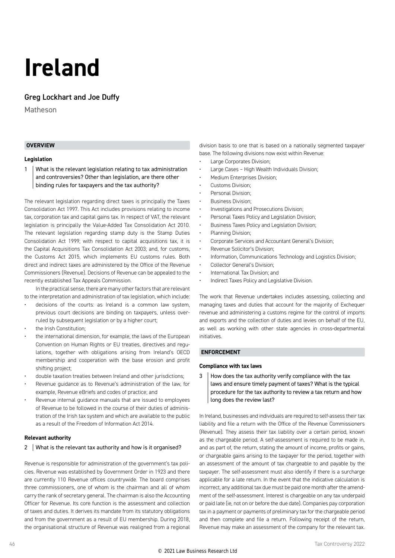## **Ireland**

#### Greg Lockhart and Joe Duffy

Matheson

#### **OVERVIEW**

#### **Legislation**

1 What is the relevant legislation relating to tax administration and controversies? Other than legislation, are there other binding rules for taxpayers and the tax authority?

The relevant legislation regarding direct taxes is principally the Taxes Consolidation Act 1997. This Act includes provisions relating to income tax, corporation tax and capital gains tax. In respect of VAT, the relevant legislation is principally the Value-Added Tax Consolidation Act 2010. The relevant legislation regarding stamp duty is the Stamp Duties Consolidation Act 1999; with respect to capital acquisitions tax, it is the Capital Acquisitions Tax Consolidation Act 2003; and, for customs, the Customs Act 2015, which implements EU customs rules. Both direct and indirect taxes are administered by the Office of the Revenue Commissioners (Revenue). Decisions of Revenue can be appealed to the recently established Tax Appeals Commission.

In the practical sense, there are many other factors that are relevant to the interpretation and administration of tax legislation, which include:

- decisions of the courts: as Ireland is a common law system, previous court decisions are binding on taxpayers, unless overruled by subsequent legislation or by a higher court;
- the Irish Constitution;
- the international dimension, for example, the laws of the European Convention on Human Rights or EU treaties, directives and regulations, together with obligations arising from Ireland's OECD membership and cooperation with the base erosion and profit shifting project;
- double taxation treaties between Ireland and other jurisdictions;
- Revenue guidance as to Revenue's administration of the law, for example, Revenue eBriefs and codes of practice; and
- Revenue internal guidance manuals that are issued to employees of Revenue to be followed in the course of their duties of administration of the Irish tax system and which are available to the public as a result of the Freedom of Information Act 2014.

#### **Relevant authority**

#### 2 What is the relevant tax authority and how is it organised?

Revenue is responsible for administration of the government's tax policies. Revenue was established by Government Order in 1923 and there are currently 110 Revenue offices countrywide. The board comprises three commissioners, one of whom is the chairman and all of whom carry the rank of secretary general. The chairman is also the Accounting Officer for Revenue. Its core function is the assessment and collection of taxes and duties. It derives its mandate from its statutory obligations and from the government as a result of EU membership. During 2018, the organisational structure of Revenue was realigned from a regional

division basis to one that is based on a nationally segmented taxpayer base. The following divisions now exist within Revenue:

- Large Corporates Division;
- Large Cases High Wealth Individuals Division;
- Medium Enterprises Division;
- Customs Division;
- Personal Division:
- Business Division;
- Investigations and Prosecutions Division;
- Personal Taxes Policy and Legislation Division;
- Business Taxes Policy and Legislation Division;
- Planning Division;
- Corporate Services and Accountant General's Division;
- Revenue Solicitor's Division;
- Information, Communications Technology and Logistics Division;
- Collector General's Division;
- International Tax Division; and
- Indirect Taxes Policy and Legislative Division.

The work that Revenue undertakes includes assessing, collecting and managing taxes and duties that account for the majority of Exchequer revenue and administering a customs regime for the control of imports and exports and the collection of duties and levies on behalf of the EU, as well as working with other state agencies in cross-departmental initiatives.

#### **ENFORCEMENT**

#### **Compliance with tax laws**

 $3$  How does the tax authority verify compliance with the tax laws and ensure timely payment of taxes? What is the typical procedure for the tax authority to review a tax return and how long does the review last?

In Ireland, businesses and individuals are required to self-assess their tax liability and file a return with the Office of the Revenue Commissioners (Revenue). They assess their tax liability over a certain period, known as the chargeable period. A self-assessment is required to be made in, and as part of, the return, stating the amount of income, profits or gains, or chargeable gains arising to the taxpayer for the period, together with an assessment of the amount of tax chargeable to and payable by the taxpayer. The self-assessment must also identify if there is a surcharge applicable for a late return. In the event that the indicative calculation is incorrect, any additional tax due must be paid one month after the amendment of the self-assessment. Interest is chargeable on any tax underpaid or paid late (ie, not on or before the due date). Companies pay corporation tax in a payment or payments of preliminary tax for the chargeable period and then complete and file a return. Following receipt of the return, Revenue may make an assessment of the company for the relevant tax.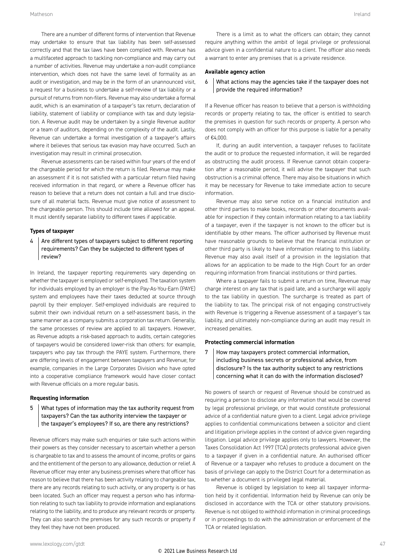There are a number of different forms of intervention that Revenue may undertake to ensure that tax liability has been self-assessed correctly and that the tax laws have been complied with. Revenue has a multifaceted approach to tackling non-compliance and may carry out a number of activities. Revenue may undertake a non-audit compliance intervention, which does not have the same level of formality as an audit or investigation, and may be in the form of an unannounced visit, a request for a business to undertake a self-review of tax liability or a pursuit of returns from non-filers. Revenue may also undertake a formal audit, which is an examination of a taxpayer's tax return, declaration of liability, statement of liability or compliance with tax and duty legislation. A Revenue audit may be undertaken by a single Revenue auditor or a team of auditors, depending on the complexity of the audit. Lastly, Revenue can undertake a formal investigation of a taxpayer's affairs where it believes that serious tax evasion may have occurred. Such an investigation may result in criminal prosecution.

Revenue assessments can be raised within four years of the end of the chargeable period for which the return is filed. Revenue may make an assessment if it is not satisfied with a particular return filed having received information in that regard, or where a Revenue officer has reason to believe that a return does not contain a full and true disclosure of all material facts. Revenue must give notice of assessment to the chargeable person. This should include time allowed for an appeal. It must identify separate liability to different taxes if applicable.

#### **Types of taxpayer**

#### $4$  Are different types of taxpayers subject to different reporting requirements? Can they be subjected to different types of review?

In Ireland, the taxpayer reporting requirements vary depending on whether the taxpayer is employed or self-employed. The taxation system for individuals employed by an employer is the Pay-As-You-Earn (PAYE) system and employees have their taxes deducted at source through payroll by their employer. Self-employed individuals are required to submit their own individual return on a self-assessment basis, in the same manner as a company submits a corporation tax return. Generally, the same processes of review are applied to all taxpayers. However, as Revenue adopts a risk-based approach to audits, certain categories of taxpayers would be considered lower-risk than others: for example, taxpayers who pay tax through the PAYE system. Furthermore, there are differing levels of engagement between taxpayers and Revenue; for example, companies in the Large Corporates Division who have opted into a cooperative compliance framework would have closer contact with Revenue officials on a more regular basis.

#### **Requesting information**

#### 5 What types of information may the tax authority request from taxpayers? Can the tax authority interview the taxpayer or the taxpayer's employees? If so, are there any restrictions?

Revenue officers may make such enquiries or take such actions within their powers as they consider necessary to ascertain whether a person is chargeable to tax and to assess the amount of income, profits or gains and the entitlement of the person to any allowance, deduction or relief. A Revenue officer may enter any business premises where that officer has reason to believe that there has been activity relating to chargeable tax, there are any records relating to such activity, or any property is or has been located. Such an officer may request a person who has information relating to such tax liability to provide information and explanations relating to the liability, and to produce any relevant records or property. They can also search the premises for any such records or property if they feel they have not been produced.

There is a limit as to what the officers can obtain; they cannot require anything within the ambit of legal privilege or professional advice given in a confidential nature to a client. The officer also needs a warrant to enter any premises that is a private residence.

#### **Available agency action**

#### $6$  What actions may the agencies take if the taxpayer does not provide the required information?

If a Revenue officer has reason to believe that a person is withholding records or property relating to tax, the officer is entitled to search the premises in question for such records or property. A person who does not comply with an officer for this purpose is liable for a penalty  $of f:\Delta$ 000

If, during an audit intervention, a taxpayer refuses to facilitate the audit or to produce the requested information, it will be regarded as obstructing the audit process. If Revenue cannot obtain cooperation after a reasonable period, it will advise the taxpayer that such obstruction is a criminal offence. There may also be situations in which it may be necessary for Revenue to take immediate action to secure information.

Revenue may also serve notice on a financial institution and other third parties to make books, records or other documents available for inspection if they contain information relating to a tax liability of a taxpayer, even if the taxpayer is not known to the officer but is identifiable by other means. The officer authorised by Revenue must have reasonable grounds to believe that the financial institution or other third party is likely to have information relating to this liability. Revenue may also avail itself of a provision in the legislation that allows for an application to be made to the High Court for an order requiring information from financial institutions or third parties.

Where a taxpayer fails to submit a return on time, Revenue may charge interest on any tax that is paid late, and a surcharge will apply to the tax liability in question. The surcharge is treated as part of the liability to tax. The principal risk of not engaging constructively with Revenue is triggering a Revenue assessment of a taxpayer's tax liability, and ultimately non-compliance during an audit may result in increased penalties.

#### **Protecting commercial information**

7 How may taxpayers protect commercial information, including business secrets or professional advice, from disclosure? Is the tax authority subject to any restrictions concerning what it can do with the information disclosed?

No powers of search or request of Revenue should be construed as requiring a person to disclose any information that would be covered by legal professional privilege, or that would constitute professional advice of a confidential nature given to a client. Legal advice privilege applies to confidential communications between a solicitor and client and litigation privilege applies in the context of advice given regarding litigation. Legal advice privilege applies only to lawyers. However, the Taxes Consolidation Act 1997 (TCA) protects professional advice given to a taxpayer if given in a confidential nature. An authorised officer of Revenue or a taxpayer who refuses to produce a document on the basis of privilege can apply to the District Court for a determination as to whether a document is privileged legal material.

Revenue is obliged by legislation to keep all taxpayer information held by it confidential. Information held by Revenue can only be disclosed in accordance with the TCA or other statutory provisions. Revenue is not obliged to withhold information in criminal proceedings or in proceedings to do with the administration or enforcement of the TCA or related legislation.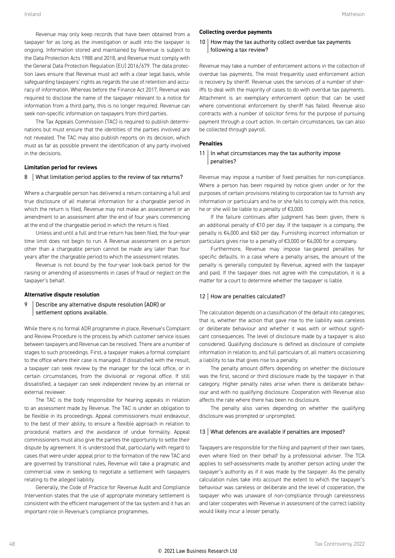Revenue may only keep records that have been obtained from a taxpayer for as long as the investigation or audit into the taxpayer is ongoing. Information stored and maintained by Revenue is subject to the Data Protection Acts 1988 and 2018, and Revenue must comply with the General Data Protection Regulation (EU) 2016/679. The data protection laws ensure that Revenue must act with a clear legal basis, while safeguarding taxpayers' rights as regards the use of retention and accuracy of information. Whereas before the Finance Act 2017, Revenue was required to disclose the name of the taxpayer relevant to a notice for information from a third party, this is no longer required. Revenue can seek non-specific information on taxpayers from third parties.

The Tax Appeals Commission (TAC) is required to publish determinations but must ensure that the identities of the parties involved are not revealed. The TAC may also publish reports on its decision, which must as far as possible prevent the identification of any party involved in the decisions.

#### **Limitation period for reviews**

#### 8 | What limitation period applies to the review of tax returns?

Where a chargeable person has delivered a return containing a full and true disclosure of all material information for a chargeable period in which the return is filed, Revenue may not make an assessment or an amendment to an assessment after the end of four years commencing at the end of the chargeable period in which the return is filed.

Unless and until a full and true return has been filed, the four-year time limit does not begin to run. A Revenue assessment on a person other than a chargeable person cannot be made any later than four years after the chargeable period to which the assessment relates.

Revenue is not bound by the four-year look-back period for the raising or amending of assessments in cases of fraud or neglect on the taxpayer's behalf.

#### **Alternative dispute resolution**

9 Describe any alternative dispute resolution (ADR) or settlement options available.

While there is no formal ADR programme in place, Revenue's Complaint and Review Procedure is the process by which customer service issues between taxpayers and Revenue can be resolved. There are a number of stages to such proceedings. First, a taxpayer makes a formal complaint to the office where their case is managed. If dissatisfied with the result, a taxpayer can seek review by the manager for the local office, or in certain circumstances, from the divisional or regional office. If still dissatisfied, a taxpayer can seek independent review by an internal or external reviewer.

The TAC is the body responsible for hearing appeals in relation to an assessment made by Revenue. The TAC is under an obligation to be flexible in its proceedings. Appeal commissioners must endeavour, to the best of their ability, to ensure a flexible approach in relation to procedural matters and the avoidance of undue formality. Appeal commissioners must also give the parties the opportunity to settle their dispute by agreement. It is understood that, particularly with regard to cases that were under appeal prior to the formation of the new TAC and are governed by transitional rules, Revenue will take a pragmatic and commercial view in seeking to negotiate a settlement with taxpayers relating to the alleged liability.

Generally, the Code of Practice for Revenue Audit and Compliance Intervention states that the use of appropriate monetary settlement is consistent with the efficient management of the tax system and it has an important role in Revenue's compliance programmes.

#### **Collecting overdue payments**

10 How may the tax authority collect overdue tax payments following a tax review?

Revenue may take a number of enforcement actions in the collection of overdue tax payments. The most frequently used enforcement action is recovery by sheriff. Revenue uses the services of a number of sheriffs to deal with the majority of cases to do with overdue tax payments. Attachment is an exemplary enforcement option that can be used where conventional enforcement by sheriff has failed. Revenue also contracts with a number of solicitor firms for the purpose of pursuing payment through a court action. In certain circumstances, tax can also be collected through payroll.

#### **Penalties**

#### $11$  In what circumstances may the tax authority impose penalties?

Revenue may impose a number of fixed penalties for non-compliance. Where a person has been required by notice given under or for the purposes of certain provisions relating to corporation tax to furnish any information or particulars and he or she fails to comply with this notice, he or she will be liable to a penalty of €3,000.

If the failure continues after judgment has been given, there is an additional penalty of €10 per day. If the taxpayer is a company, the penalty is €4,000 and €60 per day. Furnishing incorrect information or particulars gives rise to a penalty of €3,000 or €4,000 for a company.

Furthermore, Revenue may impose tax-geared penalties for specific defaults. In a case where a penalty arises, the amount of the penalty is generally computed by Revenue, agreed with the taxpayer and paid. If the taxpayer does not agree with the computation, it is a matter for a court to determine whether the taxpayer is liable.

#### 12 | How are penalties calculated?

The calculation depends on a classification of the default into categories; that is, whether the action that gave rise to the liability was careless or deliberate behaviour and whether it was with or without significant consequences. The level of disclosure made by a taxpayer is also considered. Qualifying disclosure is defined as disclosure of complete information in relation to, and full particulars of, all matters occasioning a liability to tax that gives rise to a penalty.

The penalty amount differs depending on whether the disclosure was the first, second or third disclosure made by the taxpayer in that category. Higher penalty rates arise when there is deliberate behaviour and with no qualifying disclosure. Cooperation with Revenue also affects the rate where there has been no disclosure.

The penalty also varies depending on whether the qualifying disclosure was prompted or unprompted.

#### 13 What defences are available if penalties are imposed?

Taxpayers are responsible for the filing and payment of their own taxes, even where filed on their behalf by a professional adviser. The TCA applies to self-assessments made by another person acting under the taxpayer's authority as if it was made by the taxpayer. As the penalty calculation rules take into account the extent to which the taxpayer's behaviour was careless or deliberate and the level of cooperation, the taxpayer who was unaware of non-compliance through carelessness and later cooperates with Revenue in assessment of the correct liability would likely incur a lesser penalty.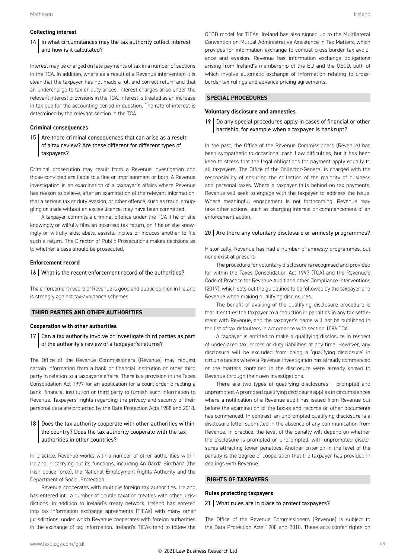#### **Collecting interest**

#### 14 | In what circumstances may the tax authority collect interest and how is it calculated?

Interest may be charged on late payments of tax in a number of sections in the TCA. In addition, where as a result of a Revenue intervention it is clear that the taxpayer has not made a full and correct return and that an undercharge to tax or duty arises, interest charges arise under the relevant interest provisions in the TCA. Interest is treated as an increase in tax due for the accounting period in question. The rate of interest is determined by the relevant section in the TCA.

#### **Criminal consequences**

15  $\vert$  Are there criminal consequences that can arise as a result of a tax review? Are these different for different types of taxpayers?

Criminal prosecution may result from a Revenue investigation and those convicted are liable to a fine or imprisonment or both. A Revenue investigation is an examination of a taxpayer's affairs where Revenue has reason to believe, after an examination of the relevant information, that a serious tax or duty evasion, or other offence, such as fraud, smuggling or trade without an excise licence, may have been committed.

A taxpayer commits a criminal offence under the TCA if he or she knowingly or wilfully files an incorrect tax return, or if he or she knowingly or wilfully aids, abets, assists, incites or induces another to file such a return. The Director of Public Prosecutions makes decisions as to whether a case should be prosecuted.

#### **Enforcement record**

#### 16 What is the recent enforcement record of the authorities?

The enforcement record of Revenue is good and public opinion in Ireland is strongly against tax-avoidance schemes.

#### **THIRD PARTIES AND OTHER AUTHORITIES**

#### **Cooperation with other authorities**

 $17$  Can a tax authority involve or investigate third parties as part of the authority's review of a taxpayer's returns?

The Office of the Revenue Commissioners (Revenue) may request certain information from a bank or financial institution or other third party in relation to a taxpayer's affairs. There is a provision in the Taxes Consolidation Act 1997 for an application for a court order directing a bank, financial institution or third party to furnish such information to Revenue. Taxpayers' rights regarding the privacy and security of their personal data are protected by the Data Protection Acts 1988 and 2018.

#### $18$  Does the tax authority cooperate with other authorities within the country? Does the tax authority cooperate with the tax authorities in other countries?

In practice, Revenue works with a number of other authorities within Ireland in carrying out its functions, including An Garda Síochána (the Irish police force), the National Employment Rights Authority and the Department of Social Protection.

Revenue cooperates with multiple foreign tax authorities. Ireland has entered into a number of double taxation treaties with other jurisdictions. In addition to Ireland's treaty network, Ireland has entered into tax information exchange agreements (TIEAs) with many other jurisdictions, under which Revenue cooperates with foreign authorities in the exchange of tax information. Ireland's TIEAs tend to follow the OECD model for TIEAs. Ireland has also signed up to the Multilateral Convention on Mutual Administrative Assistance in Tax Matters, which provides for information exchange to combat cross-border tax avoidance and evasion. Revenue has information exchange obligations arising from Ireland's membership of the EU and the OECD, both of which involve automatic exchange of information relating to crossborder tax rulings and advance pricing agreements.

#### **SPECIAL PROCEDURES**

#### **Voluntary disclosure and amnesties**

 $19$  Do any special procedures apply in cases of financial or other hardship, for example when a taxpayer is bankrupt?

In the past, the Office of the Revenue Commissioners (Revenue) has been sympathetic to occasional cash flow difficulties, but it has been keen to stress that the legal obligations for payment apply equally to all taxpayers. The Office of the Collector-General is charged with the responsibility of ensuring the collection of the majority of business and personal taxes. Where a taxpayer falls behind on tax payments, Revenue will seek to engage with the taxpayer to address the issue. Where meaningful engagement is not forthcoming, Revenue may take other actions, such as charging interest or commencement of an enforcement action.

#### $20$   $\vert$  Are there any voluntary disclosure or amnesty programmes?

Historically, Revenue has had a number of amnesty programmes, but none exist at present.

The procedure for voluntary disclosure is recognised and provided for within the Taxes Consolidation Act 1997 (TCA) and the Revenue's Code of Practice for Revenue Audit and other Compliance Interventions (2017), which sets out the guidelines to be followed by the taxpayer and Revenue when making qualifying disclosures.

The benefit of availing of the qualifying disclosure procedure is that it entitles the taxpayer to a reduction in penalties in any tax settlement with Revenue, and the taxpayer's name will not be published in the list of tax defaulters in accordance with section 1086 TCA.

A taxpayer is entitled to make a qualifying disclosure in respect of undeclared tax, errors or duty liabilities at any time. However, any disclosure will be excluded from being a 'qualifying disclosure' in circumstances where a Revenue investigation has already commenced or the matters contained in the disclosure were already known to Revenue through their own investigations.

There are two types of qualifying disclosures – prompted and unprompted. A prompted qualifying disclosure applies in circumstances where a notification of a Revenue audit has issued from Revenue but before the examination of the books and records or other documents has commenced. In contrast, an unprompted qualifying disclosure is a disclosure letter submitted in the absence of any communication from Revenue. In practice, the level of the penalty will depend on whether the disclosure is prompted or unprompted, with unprompted disclosures attracting lower penalties. Another criterion in the level of the penalty is the degree of cooperation that the taxpayer has provided in dealings with Revenue.

#### **RIGHTS OF TAXPAYERS**

#### **Rules protecting taxpayers**

#### 21 | What rules are in place to protect taxpayers?

The Office of the Revenue Commissioners (Revenue) is subject to the Data Protection Acts 1988 and 2018. These acts confer rights on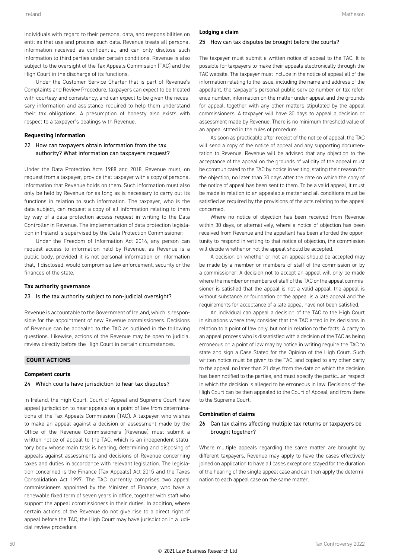individuals with regard to their personal data, and responsibilities on entities that use and process such data. Revenue treats all personal information received as confidential, and can only disclose such information to third parties under certain conditions. Revenue is also subject to the oversight of the Tax Appeals Commission (TAC) and the High Court in the discharge of its functions.

Under the Customer Service Charter that is part of Revenue's Complaints and Review Procedure, taxpayers can expect to be treated with courtesy and consistency, and can expect to be given the necessary information and assistance required to help them understand their tax obligations. A presumption of honesty also exists with respect to a taxpayer's dealings with Revenue.

#### **Requesting information**

#### 22 How can taxpayers obtain information from the tax authority? What information can taxpayers request?

Under the Data Protection Acts 1988 and 2018, Revenue must, on request from a taxpayer, provide that taxpayer with a copy of personal information that Revenue holds on them. Such information must also only be held by Revenue for as long as is necessary to carry out its functions in relation to such information. The taxpayer, who is the data subject, can request a copy of all information relating to them by way of a data protection access request in writing to the Data Controller in Revenue. The implementation of data protection legislation in Ireland is supervised by the Data Protection Commissioner.

Under the Freedom of Information Act 2014, any person can request access to information held by Revenue, as Revenue is a public body, provided it is not personal information or information that, if disclosed, would compromise law enforcement, security or the finances of the state.

#### **Tax authority governance**

#### $23$  Is the tax authority subject to non-judicial oversight?

Revenue is accountable to the Government of Ireland, which is responsible for the appointment of new Revenue commissioners. Decisions of Revenue can be appealed to the TAC as outlined in the following questions. Likewise, actions of the Revenue may be open to judicial review directly before the High Court in certain circumstances.

#### **COURT ACTIONS**

#### **Competent courts**

#### 24 Which courts have jurisdiction to hear tax disputes?

In Ireland, the High Court, Court of Appeal and Supreme Court have appeal jurisdiction to hear appeals on a point of law from determinations of the Tax Appeals Commission (TAC). A taxpayer who wishes to make an appeal against a decision or assessment made by the Office of the Revenue Commissioners (Revenue) must submit a written notice of appeal to the TAC, which is an independent statutory body whose main task is hearing, determining and disposing of appeals against assessments and decisions of Revenue concerning taxes and duties in accordance with relevant legislation. The legislation concerned is the Finance (Tax Appeals) Act 2015 and the Taxes Consolidation Act 1997. The TAC currently comprises two appeal commissioners appointed by the Minister of Finance, who have a renewable fixed term of seven years in office, together with staff who support the appeal commissioners in their duties. In addition, where certain actions of the Revenue do not give rise to a direct right of appeal before the TAC, the High Court may have jurisdiction in a judicial review procedure.

#### **Lodging a claim**

#### 25 | How can tax disputes be brought before the courts?

The taxpayer must submit a written notice of appeal to the TAC. It is possible for taxpayers to make their appeals electronically through the TAC website. The taxpayer must include in the notice of appeal all of the information relating to the issue, including the name and address of the appellant, the taxpayer's personal public service number or tax reference number, information on the matter under appeal and the grounds for appeal, together with any other matters stipulated by the appeal commissioners. A taxpayer will have 30 days to appeal a decision or assessment made by Revenue. There is no minimum threshold value of an appeal stated in the rules of procedure.

As soon as practicable after receipt of the notice of appeal, the TAC will send a copy of the notice of appeal and any supporting documentation to Revenue. Revenue will be advised that any objection to the acceptance of the appeal on the grounds of validity of the appeal must be communicated to the TAC by notice in writing, stating their reason for the objection, no later than 30 days after the date on which the copy of the notice of appeal has been sent to them. To be a valid appeal, it must be made in relation to an appealable matter and all conditions must be satisfied as required by the provisions of the acts relating to the appeal concerned.

Where no notice of objection has been received from Revenue within 30 days, or alternatively, where a notice of objection has been received from Revenue and the appellant has been afforded the opportunity to respond in writing to that notice of objection, the commission will decide whether or not the appeal should be accepted.

A decision on whether or not an appeal should be accepted may be made by a member or members of staff of the commission or by a commissioner. A decision not to accept an appeal will only be made where the member or members of staff of the TAC or the appeal commissioner is satisfied that the appeal is not a valid appeal, the appeal is without substance or foundation or the appeal is a late appeal and the requirements for acceptance of a late appeal have not been satisfied.

An individual can appeal a decision of the TAC to the High Court in situations where they consider that the TAC erred in its decisions in relation to a point of law only, but not in relation to the facts. A party to an appeal process who is dissatisfied with a decision of the TAC as being erroneous on a point of law may by notice in writing require the TAC to state and sign a Case Stated for the Opinion of the High Court. Such written notice must be given to the TAC, and copied to any other party to the appeal, no later than 21 days from the date on which the decision has been notified to the parties, and must specify the particular respect in which the decision is alleged to be erroneous in law. Decisions of the High Court can be then appealed to the Court of Appeal, and from there to the Supreme Court.

#### **Combination of claims**

#### $26$  Can tax claims affecting multiple tax returns or taxpayers be brought together?

Where multiple appeals regarding the same matter are brought by different taxpayers, Revenue may apply to have the cases effectively joined on application to have all cases except one stayed for the duration of the hearing of the single appeal case and can then apply the determination to each appeal case on the same matter.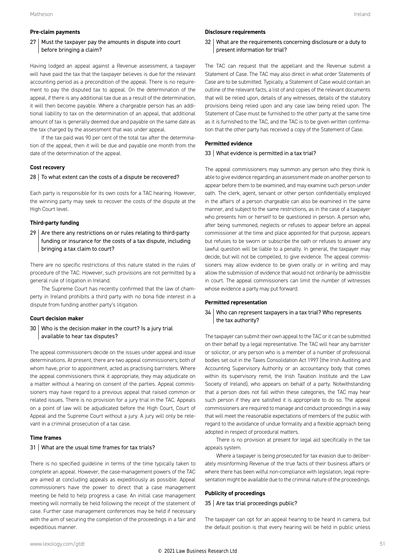#### **Pre-claim payments**

#### $27$  Must the taxpayer pay the amounts in dispute into court before bringing a claim?

Having lodged an appeal against a Revenue assessment, a taxpayer will have paid the tax that the taxpayer believes is due for the relevant accounting period as a precondition of the appeal. There is no requirement to pay the disputed tax to appeal. On the determination of the appeal, if there is any additional tax due as a result of the determination, it will then become payable. Where a chargeable person has an additional liability to tax on the determination of an appeal, that additional amount of tax is generally deemed due and payable on the same date as the tax charged by the assessment that was under appeal.

If the tax paid was 90 per cent of the total tax after the determination of the appeal, then it will be due and payable one month from the date of the determination of the appeal.

#### **Cost recovery**

#### $28$  To what extent can the costs of a dispute be recovered?

Each party is responsible for its own costs for a TAC hearing. However, the winning party may seek to recover the costs of the dispute at the High Court level.

#### **Third-party funding**

 $29$  Are there any restrictions on or rules relating to third-party funding or insurance for the costs of a tax dispute, including bringing a tax claim to court?

There are no specific restrictions of this nature stated in the rules of procedure of the TAC. However, such provisions are not permitted by a general rule of litigation in Ireland.

The Supreme Court has recently confirmed that the law of champerty in Ireland prohibits a third party with no bona fide interest in a dispute from funding another party's litigation.

#### **Court decision maker**

#### 30 Who is the decision maker in the court? Is a jury trial available to hear tax disputes?

The appeal commissioners decide on the issues under appeal and issue determinations. At present, there are two appeal commissioners; both of whom have, prior to appointment, acted as practising barristers. Where the appeal commissioners think it appropriate, they may adjudicate on a matter without a hearing on consent of the parties. Appeal commissioners may have regard to a previous appeal that raised common or related issues. There is no provision for a jury trial in the TAC. Appeals on a point of law will be adjudicated before the High Court, Court of Appeal and the Supreme Court without a jury. A jury will only be relevant in a criminal prosecution of a tax case.

#### **Time frames**

#### 31 What are the usual time frames for tax trials?

There is no specified guideline in terms of the time typically taken to complete an appeal. However, the case-management powers of the TAC are aimed at concluding appeals as expeditiously as possible. Appeal commissioners have the power to direct that a case management meeting be held to help progress a case. An initial case management meeting will normally be held following the receipt of the statement of case. Further case management conferences may be held if necessary with the aim of securing the completion of the proceedings in a fair and expeditious manner.

#### **Disclosure requirements**

32 What are the requirements concerning disclosure or a duty to present information for trial?

The TAC can request that the appellant and the Revenue submit a Statement of Case. The TAC may also direct in what order Statements of Case are to be submitted. Typically, a Statement of Case would contain an outline of the relevant facts, a list of and copies of the relevant documents that will be relied upon, details of any witnesses, details of the statutory provisions being relied upon and any case law being relied upon. The Statement of Case must be furnished to the other party at the same time as it is furnished to the TAC, and the TAC is to be given written confirmation that the other party has received a copy of the Statement of Case.

#### **Permitted evidence**

#### 33 What evidence is permitted in a tax trial?

The appeal commissioners may summon any person who they think is able to give evidence regarding an assessment made on another person to appear before them to be examined, and may examine such person under oath. The clerk, agent, servant or other person confidentially employed in the affairs of a person chargeable can also be examined in the same manner, and subject to the same restrictions, as in the case of a taxpayer who presents him or herself to be questioned in person. A person who, after being summoned, neglects or refuses to appear before an appeal commissioner at the time and place appointed for that purpose, appears but refuses to be sworn or subscribe the oath or refuses to answer any lawful question will be liable to a penalty. In general, the taxpayer may decide, but will not be compelled, to give evidence. The appeal commissioners may allow evidence to be given orally or in writing and may allow the submission of evidence that would not ordinarily be admissible in court. The appeal commissioners can limit the number of witnesses whose evidence a party may put forward.

#### **Permitted representation**

#### 34 Who can represent taxpayers in a tax trial? Who represents the tax authority?

The taxpayer can submit their own appeal to the TAC or it can be submitted on their behalf by a legal representative. The TAC will hear any barrister or solicitor, or any person who is a member of a number of professional bodies set out in the Taxes Consolidation Act 1997 (the Irish Auditing and Accounting Supervisory Authority or an accountancy body that comes within its supervisory remit, the Irish Taxation Institute and the Law Society of Ireland), who appears on behalf of a party. Notwithstanding that a person does not fall within these categories, the TAC may hear such person if they are satisfied it is appropriate to do so. The appeal commissioners are required to manage and conduct proceedings in a way that will meet the reasonable expectations of members of the public with regard to the avoidance of undue formality and a flexible approach being adopted in respect of procedural matters.

There is no provision at present for legal aid specifically in the tax appeals system.

Where a taxpayer is being prosecuted for tax evasion due to deliberately misinforming Revenue of the true facts of their business affairs or where there has been wilful non-compliance with legislation, legal representation might be available due to the criminal nature of the proceedings.

#### **Publicity of proceedings**

#### $35$  Are tax trial proceedings public?

The taxpayer can opt for an appeal hearing to be heard in camera, but the default position is that every hearing will be held in public unless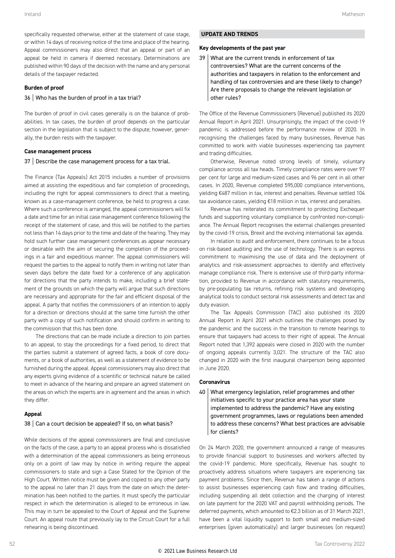specifically requested otherwise, either at the statement of case stage, or within 14 days of receiving notice of the time and place of the hearing. Appeal commissioners may also direct that an appeal or part of an appeal be held in camera if deemed necessary. Determinations are published within 90 days of the decision with the name and any personal details of the taxpayer redacted.

#### **Burden of proof**

#### 36 Who has the burden of proof in a tax trial?

The burden of proof in civil cases generally is on the balance of probabilities. In tax cases, the burden of proof depends on the particular section in the legislation that is subject to the dispute; however, generally, the burden rests with the taxpayer.

#### **Case management process**

#### 37 Describe the case management process for a tax trial.

The Finance (Tax Appeals) Act 2015 includes a number of provisions aimed at assisting the expeditious and fair completion of proceedings, including the right for appeal commissioners to direct that a meeting, known as a case-management conference, be held to progress a case. Where such a conference is arranged, the appeal commissioners will fix a date and time for an initial case management conference following the receipt of the statement of case, and this will be notified to the parties not less than 14 days prior to the time and date of the hearing. They may hold such further case management conferences as appear necessary or desirable with the aim of securing the completion of the proceedings in a fair and expeditious manner. The appeal commissioners will request the parties to the appeal to notify them in writing not later than seven days before the date fixed for a conference of any application for directions that the party intends to make, including a brief statement of the grounds on which the party will argue that such directions are necessary and appropriate for the fair and efficient disposal of the appeal. A party that notifies the commissioners of an intention to apply for a direction or directions should at the same time furnish the other party with a copy of such notification and should confirm in writing to the commission that this has been done.

The directions that can be made include a direction to join parties to an appeal, to stay the proceedings for a fixed period, to direct that the parties submit a statement of agreed facts, a book of core documents, or a book of authorities, as well as a statement of evidence to be furnished during the appeal. Appeal commissioners may also direct that any experts giving evidence of a scientific or technical nature be called to meet in advance of the hearing and prepare an agreed statement on the areas on which the experts are in agreement and the areas in which they differ.

#### **Appeal**

#### 38 Can a court decision be appealed? If so, on what basis?

While decisions of the appeal commissioners are final and conclusive on the facts of the case, a party to an appeal process who is dissatisfied with a determination of the appeal commissioners as being erroneous only on a point of law may by notice in writing require the appeal commissioners to state and sign a Case Stated for the Opinion of the High Court. Written notice must be given and copied to any other party to the appeal no later than 21 days from the date on which the determination has been notified to the parties. It must specify the particular respect in which the determination is alleged to be erroneous in law. This may in turn be appealed to the Court of Appeal and the Supreme Court. An appeal route that previously lay to the Circuit Court for a full rehearing is being discontinued.

#### **UPDATE AND TRENDS**

#### **Key developments of the past year**

 $39$  What are the current trends in enforcement of tax controversies? What are the current concerns of the authorities and taxpayers in relation to the enforcement and handling of tax controversies and are these likely to change? Are there proposals to change the relevant legislation or other rules?

The Office of the Revenue Commissioners (Revenue) published its 2020 Annual Report in April 2021. Unsurprisingly, the impact of the covid-19 pandemic is addressed before the performance review of 2020. In recognising the challenges faced by many businesses, Revenue has committed to work with viable businesses experiencing tax payment and trading difficulties.

Otherwise, Revenue noted strong levels of timely, voluntary compliance across all tax heads. Timely compliance rates were over 97 per cent for large and medium-sized cases and 96 per cent in all other cases. In 2020, Revenue completed 595,000 compliance interventions, yielding €487 million in tax, interest and penalties. Revenue settled 104 tax avoidance cases, yielding €18 million in tax, interest and penalties.

Revenue has reiterated its commitment to protecting Exchequer funds and supporting voluntary compliance by confronted non-compliance. The Annual Report recognises the external challenges presented by the covid-19 crisis, Brexit and the evolving international tax agenda.

In relation to audit and enforcement, there continues to be a focus on risk-based auditing and the use of technology. There is an express commitment to maximising the use of data and the deployment of analytics and risk-assessment approaches to identify and effectively manage compliance risk. There is extensive use of third-party information, provided to Revenue in accordance with statutory requirements, by pre-populating tax returns, refining risk systems and developing analytical tools to conduct sectoral risk assessments and detect tax and duty evasion.

The Tax Appeals Commission (TAC) also published its 2020 Annual Report in April 2021 which outlines the challenges posed by the pandemic and the success in the transition to remote hearings to ensure that taxpayers had access to their right of appeal. The Annual Report noted that 1,392 appeals were closed in 2020 with the number of ongoing appeals currently 3,021. The structure of the TAC also changed in 2020 with the first inaugural chairperson being appointed in June 2020.

#### **Coronavirus**

40 What emergency legislation, relief programmes and other initiatives specific to your practice area has your state implemented to address the pandemic? Have any existing government programmes, laws or regulations been amended to address these concerns? What best practices are advisable for clients?

On 24 March 2020, the government announced a range of measures to provide financial support to businesses and workers affected by the covid-19 pandemic. More specifically, Revenue has sought to proactively address situations where taxpayers are experiencing tax payment problems. Since then, Revenue has taken a range of actions to assist businesses experiencing cash flow and trading difficulties, including suspending all debt collection and the charging of interest on late payment for the 2020 VAT and payroll withholding periods. The deferred payments, which amounted to €2.3 billion as of 31 March 2021, have been a vital liquidity support to both small and medium-sized enterprises (given automatically) and larger businesses (on request)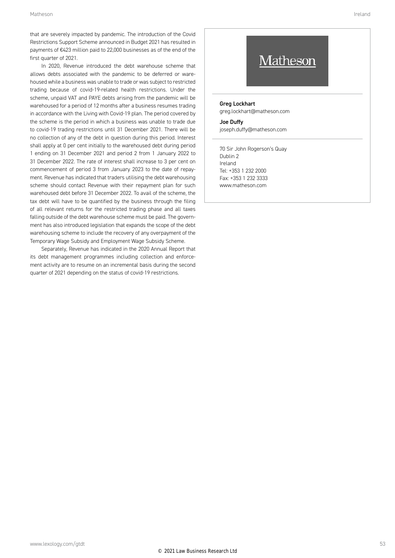that are severely impacted by pandemic. The introduction of the Covid Restrictions Support Scheme announced in Budget 2021 has resulted in payments of €423 million paid to 22,000 businesses as of the end of the first quarter of 2021.

In 2020, Revenue introduced the debt warehouse scheme that allows debts associated with the pandemic to be deferred or warehoused while a business was unable to trade or was subject to restricted trading because of covid-19-related health restrictions. Under the scheme, unpaid VAT and PAYE debts arising from the pandemic will be warehoused for a period of 12 months after a business resumes trading in accordance with the Living with Covid-19 plan. The period covered by the scheme is the period in which a business was unable to trade due to covid-19 trading restrictions until 31 December 2021. There will be no collection of any of the debt in question during this period. Interest shall apply at 0 per cent initially to the warehoused debt during period 1 ending on 31 December 2021 and period 2 from 1 January 2022 to 31 December 2022. The rate of interest shall increase to 3 per cent on commencement of period 3 from January 2023 to the date of repayment. Revenue has indicated that traders utilising the debt warehousing scheme should contact Revenue with their repayment plan for such warehoused debt before 31 December 2022. To avail of the scheme, the tax debt will have to be quantified by the business through the filing of all relevant returns for the restricted trading phase and all taxes falling outside of the debt warehouse scheme must be paid. The government has also introduced legislation that expands the scope of the debt warehousing scheme to include the recovery of any overpayment of the Temporary Wage Subsidy and Employment Wage Subsidy Scheme.

Separately, Revenue has indicated in the 2020 Annual Report that its debt management programmes including collection and enforcement activity are to resume on an incremental basis during the second quarter of 2021 depending on the status of covid-19 restrictions.

### **T**atheson

Greg Lockhart greg.lockhart@matheson.com

Joe Duffy joseph.duffy@matheson.com

70 Sir John Rogerson's Quay Dublin 2 Ireland Tel: +353 1 232 2000 Fax: +353 1 232 3333 www.matheson.com